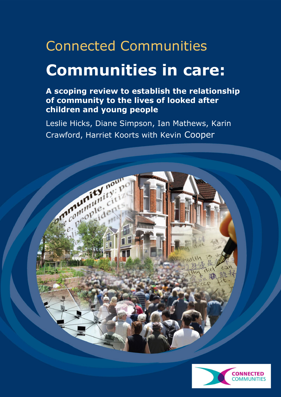# Connected Communities **Communities in care:**

### **A scoping review to establish the relationship of community to the lives of looked after children and young people**

Leslie Hicks, Diane Simpson, Ian Mathews, Karin Crawford, Harriet Koorts with Kevin Cooper



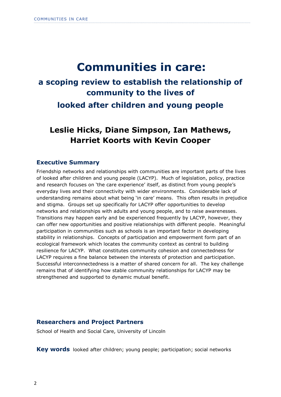## **Communities in care:**

# **a scoping review to establish the relationship of community to the lives of**

**looked after children and young people**

### **Leslie Hicks, Diane Simpson, Ian Mathews, Harriet Koorts with Kevin Cooper**

#### **Executive Summary**

Friendship networks and relationships with communities are important parts of the lives of looked after children and young people (LACYP). Much of legislation, policy, practice and research focuses on 'the care experience' itself, as distinct from young people's everyday lives and their connectivity with wider environments. Considerable lack of understanding remains about what being "in care" means. This often results in prejudice and stigma. Groups set up specifically for LACYP offer opportunities to develop networks and relationships with adults and young people, and to raise awarenesses. Transitions may happen early and be experienced frequently by LACYP, however, they can offer new opportunities and positive relationships with different people. Meaningful participation in communities such as schools is an important factor in developing stability in relationships. Concepts of participation and empowerment form part of an ecological framework which locates the community context as central to building resilience for LACYP. What constitutes community cohesion and connectedness for LACYP requires a fine balance between the interests of protection and participation. Successful interconnectedness is a matter of shared concern for all. The key challenge remains that of identifying how stable community relationships for LACYP may be strengthened and supported to dynamic mutual benefit.

#### **Researchers and Project Partners**

School of Health and Social Care, University of Lincoln

**Key words** looked after children; young people; participation; social networks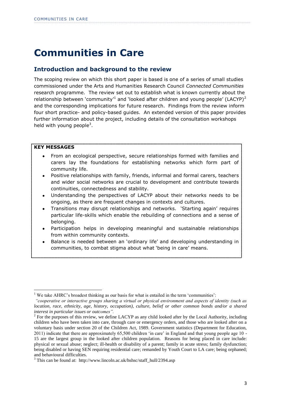### **Communities in Care**

#### **Introduction and background to the review**

The scoping review on which this short paper is based is one of a series of small studies commissioned under the Arts and Humanities Research Council *Connected Communities* research programme. The review set out to establish what is known currently about the relationship between 'community'<sup>1</sup> and 'looked after children and young people' (LACYP)<sup>2</sup> and the corresponding implications for future research. Findings from the review inform four short practice- and policy-based guides. An extended version of this paper provides further information about the project, including details of the consultation workshops held with young people<sup>3</sup>.

#### **KEY MESSAGES**

 $\overline{a}$ 

- From an ecological perspective, secure relationships formed with families and carers lay the foundations for establishing networks which form part of community life.
- Positive relationships with family, friends, informal and formal carers, teachers and wider social networks are crucial to development and contribute towards continuities, connectedness and stability.
- Understanding the perspectives of LACYP about their networks needs to be ongoing, as there are frequent changes in contexts and cultures.
- Transitions may disrupt relationships and networks. "Starting again" requires  $\bullet$ particular life-skills which enable the rebuilding of connections and a sense of belonging.
- Participation helps in developing meaningful and sustainable relationships  $\bullet$ from within community contexts.
- Balance is needed between an "ordinary life" and developing understanding in  $\bullet$ communities, to combat stigma about what "being in care" means.

<sup>&</sup>lt;sup>1</sup> We take AHRC's broadest thinking as our basis for what is entailed in the term 'communities':

*<sup>&</sup>quot;cooperative or interactive groups sharing a virtual or physical environment and aspects of identity (such as location, race, ethnicity, age, history, occupation), culture, belief or other common bonds and/or a shared interest in particular issues or outcomes".* 

 $2^2$  For the purposes of this review, we define LACYP as any child looked after by the Local Authority, including children who have been taken into care, through care or emergency orders, and those who are looked after on a voluntary basis under section 20 of the Children Act, 1989. Government statistics (Department for Education, 2011) indicate that there are approximately 65,500 children 'in care' in England and that young people age 10 - 15 are the largest group in the looked after children population. Reasons for being placed in care include: physical or sexual abuse; neglect; ill-health or disability of a parent; family in acute stress; family dysfunction; being disabled or having SEN requiring residential care; remanded by Youth Court to LA care; being orphaned; and behavioural difficulties.

 $3$  This can be found at: http://www.lincoln.ac.uk/hshsc/staff hull/2394.asp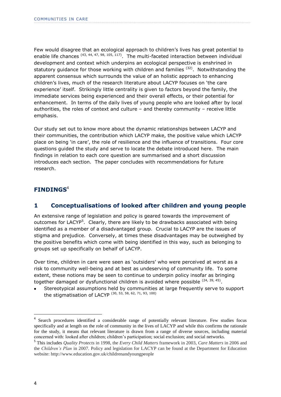Few would disagree that an ecological approach to children"s lives has great potential to enable life chances  $(43, 44, 47, 98, 105, 117)$ . The multi-faceted interaction between individual development and context which underpins an ecological perspective is enshrined in statutory guidance for those working with children and families  $(32)$ . Notwithstanding the apparent consensus which surrounds the value of an holistic approach to enhancing children"s lives, much of the research literature about LACYP focuses on "the care experience" itself. Strikingly little centrality is given to factors beyond the family, the immediate services being experienced and their overall effects, or their potential for enhancement. In terms of the daily lives of young people who are looked after by local authorities, the roles of context and culture – and thereby community – receive little emphasis.

Our study set out to know more about the dynamic relationships between LACYP and their communities, the contribution which LACYP make, the positive value which LACYP place on being "in care", the role of resilience and the influence of transitions. Four core questions guided the study and serve to locate the debate introduced here. The main findings in relation to each core question are summarised and a short discussion introduces each section. The paper concludes with recommendations for future research.

#### **FINDINGS**<sup>4</sup>

#### **1 Conceptualisations of looked after children and young people**

An extensive range of legislation and policy is geared towards the improvement of outcomes for LACYP<sup>5</sup>. Clearly, there are likely to be drawbacks associated with being identified as a member of a disadvantaged group. Crucial to LACYP are the issues of stigma and prejudice. Conversely, at times these disadvantages may be outweighed by the positive benefits which come with being identified in this way, such as belonging to groups set up specifically on behalf of LACYP.

Over time, children in care were seen as "outsiders" who were perceived at worst as a risk to community well-being and at best as undeserving of community life. To some extent, these notions may be seen to continue to underpin policy insofar as bringing together damaged or dysfunctional children is avoided where possible <sup>(24, 39, 45)</sup>.

Stereotypical assumptions held by communities at large frequently serve to support the stigmatisation of LACYP (30, 53, 58, 62, 71, 93, 100)

 $\overline{a}$ 

<sup>&</sup>lt;sup>4</sup> Search procedures identified a considerable range of potentially relevant literature. Few studies focus specifically and at length on the role of community in the lives of LACYP and while this confirms the rationale for the study, it means that relevant literature is drawn from a range of diverse sources, including material concerned with: looked after children; children's participation; social exclusion; and social networks.

<sup>5</sup> This includes *Quality Protects* in 1998, the *Every Child Matters* framework in 2003, *Care Matters* in 2006 and the *Children's Plan* in 2007. Policy and legislation for LACYP can be found at the Department for Education website: http://www.education.gov.uk/childrenandyoungpeople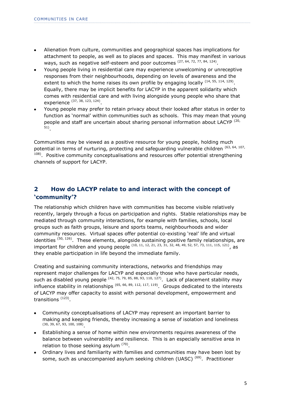- Alienation from culture, communities and geographical spaces has implications for  $\bullet$ attachment to people, as well as to places and spaces. This may manifest in various ways, such as negative self-esteem and poor outcomes  $(27, 64, 72, 77, 84, 124)$ .
- Young people living in residential care may experience unwelcoming or unreceptive responses from their neighbourhoods, depending on levels of awareness and the extent to which the home raises its own profile by engaging locally  $(14, 55, 114, 129)$ . Equally, there may be implicit benefits for LACYP in the apparent solidarity which comes with residential care and with living alongside young people who share that experience (37, 38, 123, 124).
- Young people may prefer to retain privacy about their looked after status in order to function as 'normal' within communities such as schools. This may mean that young people and staff are uncertain about sharing personal information about LACYP<sup>(20,</sup> 51) .

Communities may be viewed as a positive resource for young people, holding much potential in terms of nurturing, protecting and safeguarding vulnerable children (63, 64, 107,  $108$ ). Positive community conceptualisations and resources offer potential strengthening channels of support for LACYP.

#### **2 How do LACYP relate to and interact with the concept of 'community'?**

The relationship which children have with communities has become visible relatively recently, largely through a focus on participation and rights. Stable relationships may be mediated through community interactions, for example with families, schools, local groups such as faith groups, leisure and sports teams, neighbourhoods and wider community resources. Virtual spaces offer potential co-existing "real" life and virtual identities  $(50, 126)$ . These elements, alongside sustaining positive family relationships, are important for children and young people (10, 11, 12, 21, 23, 31, 32, 48, 49, 52, 57, 73, 111, 115, 121), as they enable participation in life beyond the immediate family.

Creating and sustaining community interactions, networks and friendships may represent major challenges for LACYP and especially those who have particular needs, such as disabled young people  $(42, 75, 79, 85, 88, 93, 110, 127)$ . Lack of placement stability may influence stability in relationships  $(65, 66, 89, 112, 117, 119)$ . Groups dedicated to the interests of LACYP may offer capacity to assist with personal development, empowerment and transitions <sup>(123)</sup>.

- Community conceptualisations of LACYP may represent an important barrier to making and keeping friends, thereby increasing a sense of isolation and loneliness (30, 39, 67, 93, 100, 108) .
- Establishing a sense of home within new environments requires awareness of the balance between vulnerability and resilience. This is an especially sensitive area in relation to those seeking asylum  $(70)$ .
- Ordinary lives and familiarity with families and communities may have been lost by some, such as unaccompanied asylum seeking children (UASC)<sup>(69)</sup>. Practitioner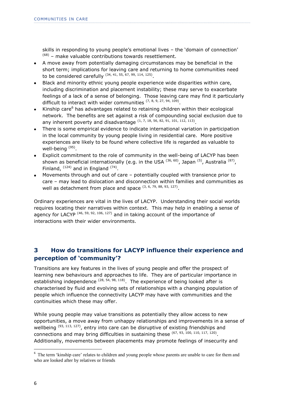skills in responding to young people's emotional lives - the 'domain of connection'  $(68)$  – make valuable contributions towards resettlement.

- A move away from potentially damaging circumstances may be beneficial in the short term; implications for leaving care and returning to home communities need to be considered carefully  $^{(34, 41, 55, 67, 99, 114, 125)}$ .
- Black and minority ethnic young people experience wide disparities within care, including discrimination and placement instability; these may serve to exacerbate feelings of a lack of a sense of belonging. Those leaving care may find it particularly difficult to interact with wider communities  $(7, 8, 9, 27, 94, 109)$ .
- Kinship care<sup>6</sup> has advantages related to retaining children within their ecological network. The benefits are set against a risk of compounding social exclusion due to any inherent poverty and disadvantage  $(1, 7, 18, 56, 82, 91, 101, 112, 113)$ .
- There is some empirical evidence to indicate international variation in participation in the local community by young people living in residential care. More positive experiences are likely to be found where collective life is regarded as valuable to well-being<sup>(95)</sup>.
- Explicit commitment to the role of community in the well-being of LACYP has been shown as beneficial internationally (e.g. in the USA  $^{(36, 60)}$ , Japan  $^{(5)}$ , Australia  $^{(87)}$ , Finland,  $^{(124)}$  and in England  $^{(74)}$ .
- Movements through and out of care potentially coupled with transience prior to care – may lead to dislocation and disconnection within families and communities as well as detachment from place and space  $(3, 6, 79, 88, 93, 127)$ .

Ordinary experiences are vital in the lives of LACYP. Understanding their social worlds requires locating their narratives within context. This may help in enabling a sense of agency for LACYP<sup> $(46, 59, 92, 106, 127)$ </sup> and in taking account of the importance of interactions with their wider environments.

#### **3 How do transitions for LACYP influence their experience and perception of 'community'?**

Transitions are key features in the lives of young people and offer the prospect of learning new behaviours and approaches to life. They are of particular importance in establishing independence  $(28, 54, 98, 118)$ . The experience of being looked after is characterised by fluid and evolving sets of relationships with a changing population of people which influence the connectivity LACYP may have with communities and the continuities which these may offer.

While young people may value transitions as potentially they allow access to new opportunities, a move away from unhappy relationships and improvements in a sense of wellbeing  $(93, 113, 127)$ , entry into care can be disruptive of existing friendships and connections and may bring difficulties in sustaining these  $^{(67, 93, 100, 110, 117, 120)}$ . Additionally, movements between placements may promote feelings of insecurity and

<sup>&</sup>lt;sup>6</sup> The term 'kinship care' relates to children and young people whose parents are unable to care for them and who are looked after by relatives or friends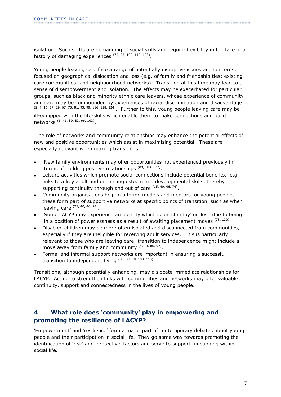isolation. Such shifts are demanding of social skills and require flexibility in the face of a history of damaging experiences  $(75, 93, 100, 110, 128)$ .

Young people leaving care face a range of potentially disruptive issues and concerns, focused on geographical dislocation and loss (e.g. of family and friendship ties; existing care communities; and neighbourhood networks). Transition at this time may lead to a sense of disempowerment and isolation. The effects may be exacerbated for particular groups, such as black and minority ethnic care leavers, whose experience of community and care may be compounded by experiences of racial discrimination and disadvantage (2, 7, 16, 17, 29, 67, 75, 81, 93, 99, 116, 118, 124). Further to this, young people leaving care may be ill-equipped with the life-skills which enable them to make connections and build networks (6, 41, 80, 83, 96, 103).

The role of networks and community relationships may enhance the potential effects of new and positive opportunities which assist in maximising potential. These are especially relevant when making transitions.

- New family environments may offer opportunities not experienced previously in terms of building positive relationships (89, 103, 127).
- Leisure activities which promote social connections include potential benefits, e.g. links to a key adult and enhancing esteem and developmental skills, thereby supporting continuity through and out of care  $(15, 40, 46, 74)$ .
- Community organisations help in offering models and mentors for young people, these form part of supportive networks at specific points of transition, such as when leaving care  $(25, 40, 46, 74)$ .
- Some LACYP may experience an identity which is "on standby" or "lost" due to being in a position of powerlessness as a result of awaiting placement moves  $^{(78, 130)}$ .
- Disabled children may be more often isolated and disconnected from communities, especially if they are ineligible for receiving adult services. This is particularly relevant to those who are leaving care; transition to independence might include a move away from family and community  $(4, 13, 86, 97)$ .
- Formal and informal support networks are important in ensuring a successful transition to independent living  $(35, 89, 90, 103, 118)$ .

Transitions, although potentially enhancing, may dislocate immediate relationships for LACYP. Acting to strengthen links with communities and networks may offer valuable continuity, support and connectedness in the lives of young people.

#### **4 What role does 'community' play in empowering and promoting the resilience of LACYP?**

"Empowerment" and "resilience" form a major part of contemporary debates about young people and their participation in social life. They go some way towards promoting the identification of "risk" and "protective" factors and serve to support functioning within social life.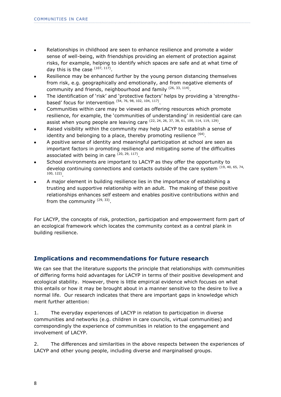- Relationships in childhood are seen to enhance resilience and promote a wider sense of well-being, with friendships providing an element of protection against risks, for example, helping to identify which spaces are safe and at what time of day this is the case  $(107, 117)$ .
- Resilience may be enhanced further by the young person distancing themselves from risk, e.g. geographically and emotionally, and from negative elements of community and friends, neighbourhood and family  $(26, 33, 114)$ .
- The identification of "risk" and "protective factors" helps by providing a "strengthsbased' focus for intervention  $(54, 76, 98, 102, 104, 117)$ .
- Communities within care may be viewed as offering resources which promote resilience, for example, the 'communities of understanding' in residential care can assist when young people are leaving care  $(22, 24, 26, 37, 38, 61, 100, 114, 119, 129)$ .
- Raised visibility within the community may help LACYP to establish a sense of identity and belonging to a place, thereby promoting resilience  $<sup>(64)</sup>$ .</sup>
- A positive sense of identity and meaningful participation at school are seen as important factors in promoting resilience and mitigating some of the difficulties associated with being in care  $(20, 29, 117)$ .
- School environments are important to LACYP as they offer the opportunity to develop continuing connections and contacts outside of the care system (19, 40, 65, 74, 100, 122) .
- A major element in building resilience lies in the importance of establishing a trusting and supportive relationship with an adult. The making of these positive relationships enhances self esteem and enables positive contributions within and from the community <sup>(29, 33)</sup>.

For LACYP, the concepts of risk, protection, participation and empowerment form part of an ecological framework which locates the community context as a central plank in building resilience.

#### **Implications and recommendations for future research**

We can see that the literature supports the principle that relationships with communities of differing forms hold advantages for LACYP in terms of their positive development and ecological stability. However, there is little empirical evidence which focuses on what this entails or how it may be brought about in a manner sensitive to the desire to live a normal life. Our research indicates that there are important gaps in knowledge which merit further attention:

1. The everyday experiences of LACYP in relation to participation in diverse communities and networks (e.g. children in care councils, virtual communities) and correspondingly the experience of communities in relation to the engagement and involvement of LACYP.

2. The differences and similarities in the above respects between the experiences of LACYP and other young people, including diverse and marginalised groups.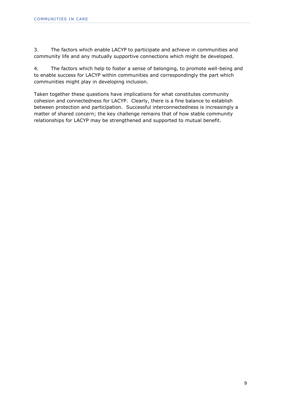3. The factors which enable LACYP to participate and achieve in communities and community life and any mutually supportive connections which might be developed.

4. The factors which help to foster a sense of belonging, to promote well-being and to enable success for LACYP within communities and correspondingly the part which communities might play in developing inclusion.

Taken together these questions have implications for what constitutes community cohesion and connectedness for LACYP. Clearly, there is a fine balance to establish between protection and participation. Successful interconnectedness is increasingly a matter of shared concern; the key challenge remains that of how stable community relationships for LACYP may be strengthened and supported to mutual benefit.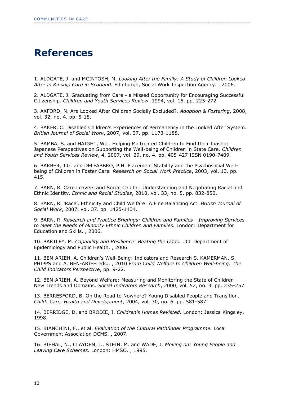### **References**

1. ALDGATE, J. and MCINTOSH, M. *Looking After the Family: A Study of Children Looked After in Kinship Care in Scotland.* Edinburgh, Social Work Inspection Agency. , 2006.

2. ALDGATE, J. Graduating from Care - a Missed Opportunity for Encouraging Successful Citizenship*. Children and Youth Services Review*, 1994, vol. 16. pp. 225-272.

3. AXFORD, N. Are Looked After Children Socially Excluded?*. Adoption & Fostering*, 2008, vol. 32, no. 4. pp. 5-18.

4. BAKER, C. Disabled Children"s Experiences of Permanency in the Looked After System*. British Journal of Social Work*, 2007, vol. 37. pp. 1173-1188.

5. BAMBA, S. and HAIGHT, W.L. Helping Maltreated Children to Find their Ibasho: Japanese Perspectives on Supporting the Well-being of Children in State Care*. Children and Youth Services Review*, 4, 2007, vol. 29, no. 4. pp. 405-427 ISSN 0190-7409.

6. BARBER, J.G. and DELFABBRO, P.H. Placement Stability and the Psychosocial Wellbeing of Children in Foster Care*. Research on Social Work Practice*, 2003, vol. 13. pp. 415.

7. BARN, R. Care Leavers and Social Capital: Understanding and Negotiating Racial and Ethnic Identity*. Ethnic and Racial Studies*, 2010, vol. 33, no. 5. pp. 832-850.

8. BARN, R. "Race", Ethnicity and Child Welfare: A Fine Balancing Act*. British Journal of Social Work*, 2007, vol. 37. pp. 1425-1434.

9. BARN, R. *Research and Practice Briefings: Children and Families - Improving Services to Meet the Needs of Minority Ethnic Children and Families.* London: Department for Education and Skills. , 2006.

10. BARTLEY, M. *Capability and Resilience: Beating the Odds.* UCL Department of Epidemiology and Public Health. , 2006.

11. BEN-ARIEH, A. Children"s Well-Being: Indicators and Research S. KAMERMAN, S. PHIPPS and A. BEN-ARIEH eds., , 2010 *From Child Welfare to Children Well-being: The Child Indicators Perspective*, pp. 9-22.

12. BEN-ARIEH, A. Beyond Welfare: Measuring and Monitoring the State of Children – New Trends and Domains*. Social Indicators Research*, 2000, vol. 52, no. 3. pp. 235-257.

13. BERRESFORD, B. On the Road to Nowhere? Young Disabled People and Transition*. Child: Care, Health and Development*, 2004, vol. 30, no. 6. pp. 581-587.

14. BERRIDGE, D. and BRODIE, I. *Children's Homes Revisted.* London: Jessica Kingsley, 1998.

15. BIANCHINI, F., et al. *Evaluation of the Cultural Pathfinder Programme.* Local Government Association DCMS. , 2007.

16. BIEHAL, N., CLAYDEN, J., STEIN, M. and WADE, J. *Moving on: Young People and Leaving Care Schemes.* London: HMSO. , 1995.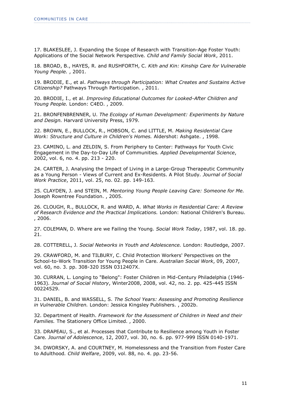17. BLAKESLEE, J. Expanding the Scope of Research with Transition-Age Foster Youth: Applications of the Social Network Perspective*. Child and Family Social Work*, 2011.

18. BROAD, B., HAYES, R. and RUSHFORTH, C. *Kith and Kin: Kinship Care for Vulnerable Young People.* , 2001.

19. BRODIE, E., et al. *Pathways through Participation: What Creates and Sustains Active Citizenship?* Pathways Through Participation. , 2011.

20. BRODIE, I., et al. *Improving Educational Outcomes for Looked-After Children and Young People.* London: C4EO. , 2009.

21. BRONFENBRENNER, U. *The Ecology of Human Development: Experiments by Nature and Design.* Harvard University Press, 1979.

22. BROWN, E., BULLOCK, R., HOBSON, C. and LITTLE, M. *Making Residential Care Work: Structure and Culture in Children's Homes.* Aldershot: Ashgate. , 1998.

23. CAMINO, L. and ZELDIN, S. From Periphery to Center: Pathways for Youth Civic Engagement in the Day-to-Day Life of Communities*. Applied Developmental Science*, 2002, vol. 6, no. 4. pp. 213 - 220.

24. CARTER, J. Analysing the Impact of Living in a Large-Group Therapeutic Community as a Young Person - Views of Current and Ex-Residents. A Pilot Study*. Journal of Social Work Practice*, 2011, vol. 25, no. 02. pp. 149-163.

25. CLAYDEN, J. and STEIN, M. *Mentoring Young People Leaving Care: Someone for Me.*  Joseph Rowntree Foundation. , 2005.

26. CLOUGH, R., BULLOCK, R. and WARD, A. *What Works in Residential Care: A Review of Research Evidence and the Practical Implications.* London: National Children's Bureau. , 2006.

27. COLEMAN, D. Where are we Failing the Young*. Social Work Today*, 1987, vol. 18. pp. 21.

28. COTTERELL, J. *Social Networks in Youth and Adolescence.* London: Routledge, 2007.

29. CRAWFORD, M. and TILBURY, C. Child Protection Workers' Perspectives on the School-to-Work Transition for Young People in Care*. Australian Social Work*, 09, 2007, vol. 60, no. 3. pp. 308-320 ISSN 0312407X.

30. CURRAN, L. Longing to "Belong": Foster Children in Mid-Century Philadelphia (1946- 1963)*. Journal of Social History*, Winter2008, 2008, vol. 42, no. 2. pp. 425-445 ISSN 00224529.

31. DANIEL, B. and WASSELL, S. *The School Years: Assessing and Promoting Resilience in Vulnerable Children.* London: Jessica Kingsley Publishers. , 2002b.

32. Department of Health. *Framework for the Assessment of Children in Need and their Families.* The Stationery Office Limited. , 2000.

33. DRAPEAU, S., et al. Processes that Contribute to Resilience among Youth in Foster Care*. Journal of Adolescence*, 12, 2007, vol. 30, no. 6. pp. 977-999 ISSN 0140-1971.

34. DWORSKY, A. and COURTNEY, M. Homelessness and the Transition from Foster Care to Adulthood*. Child Welfare*, 2009, vol. 88, no. 4. pp. 23-56.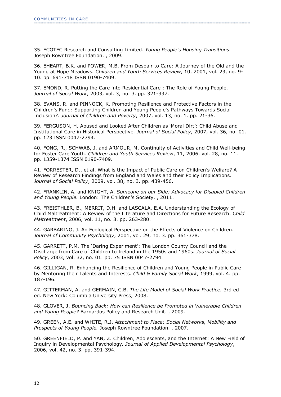35. ECOTEC Research and Consulting Limited. *Young People's Housing Transitions.*  Joseph Rowntree Foundation. , 2009.

36. EHEART, B.K. and POWER, M.B. From Despair to Care: A Journey of the Old and the Young at Hope Meadows*. Children and Youth Services Review*, 10, 2001, vol. 23, no. 9- 10. pp. 691-718 ISSN 0190-7409.

37. EMOND, R. Putting the Care into Residential Care : The Role of Young People*. Journal of Social Work*, 2003, vol. 3, no. 3. pp. 321-337.

38. EVANS, R. and PINNOCK, K. Promoting Resilience and Protective Factors in the Children's Fund: Supporting Children and Young People's Pathways Towards Social Inclusion?*. Journal of Children and Poverty*, 2007, vol. 13, no. 1. pp. 21-36.

39. FERGUSON, H. Abused and Looked After Children as "Moral Dirt": Child Abuse and Institutional Care in Historical Perspective*. Journal of Social Policy*, 2007, vol. 36, no. 01. pp. 123 ISSN 0047-2794.

40. FONG, R., SCHWAB, J. and ARMOUR, M. Continuity of Activities and Child Well-being for Foster Care Youth*. Children and Youth Services Review*, 11, 2006, vol. 28, no. 11. pp. 1359-1374 ISSN 0190-7409.

41. FORRESTER, D., et al. What is the Impact of Public Care on Children"s Welfare? A Review of Research Findings from England and Wales and their Policy Implications*. Journal of Social Policy*, 2009, vol. 38, no. 3. pp. 439-456.

42. FRANKLIN, A. and KNIGHT, A. *Someone on our Side: Advocacy for Disabled Children and Young People.* London: The Children's Society. , 2011.

43. FREISTHLER, B., MERRIT, D.H. and LASCALA, E.A. Understanding the Ecology of Child Maltreatment: A Review of the Literature and Directions for Future Research*. Child Maltreatment*, 2006, vol. 11, no. 3. pp. 263-280.

44. GARBARINO, J. An Ecological Perspective on the Effects of Violence on Children*. Journal of Community Psychology*, 2001, vol. 29, no. 3. pp. 361-378.

45. GARRETT, P.M. The "Daring Experiment": The London County Council and the Discharge from Care of Children to Ireland in the 1950s and 1960s*. Journal of Social Policy*, 2003, vol. 32, no. 01. pp. 75 ISSN 0047-2794.

46. GILLIGAN, R. Enhancing the Resilience of Children and Young People in Public Care by Mentoring their Talents and Interests*. Child & Family Social Work*, 1999, vol. 4. pp. 187-196.

47. GITTERMAN, A. and GERMAIN, C.B. *The Life Model of Social Work Practice.* 3rd ed ed. New York: Columbia University Press, 2008.

48. GLOVER, J. *Bouncing Back: How can Resilience be Promoted in Vulnerable Children and Young People?* Barnardos Policy and Research Unit. , 2009.

49. GREEN, A.E. and WHITE, R.J. *Attachment to Place: Social Networks, Mobility and Prospects of Young People.* Joseph Rowntree Foundation. , 2007.

50. GREENFIELD, P. and YAN, Z. Children, Adolescents, and the Internet: A New Field of Inquiry in Developmental Psychology*. Journal of Applied Developmental Psychology*, 2006, vol. 42, no. 3. pp. 391-394.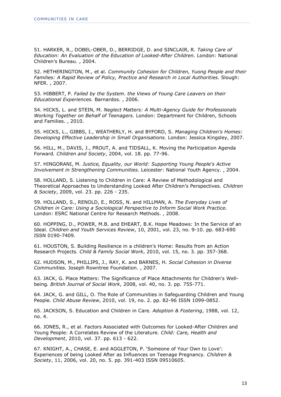51. HARKER, R., DOBEL-OBER, D., BERRIDGE, D. and SINCLAIR, R. *Taking Care of Education: An Evaluation of the Education of Looked-After Children.* London: National Children"s Bureau. , 2004.

52. HETHERINGTON, M., et al. *Community Cohesion for Children, Yuong People and their Families: A Rapid Review of Policy, Practice and Research in Local Authorities.* Slough: NFER. , 2007.

53. HIBBERT, P. *Failed by the System. the Views of Young Care Leavers on their Educational Experiences.* Barnardos. , 2006.

54. HICKS, L. and STEIN, M. *Neglect Matters: A Multi-Agency Guide for Professionals Working Together on Behalf of Teenagers.* London: Department for Children, Schools and Families. , 2010.

55. HICKS, L., GIBBS, I., WEATHERLY, H. and BYFORD, S. *Managing Children's Homes: Developing Effective Leadership in Small Organisations.* London: Jessica Kingsley, 2007.

56. HILL, M., DAVIS, J., PROUT, A. and TIDSALL, K. Moving the Participation Agenda Forward*. Children and Society*, 2004, vol. 18. pp. 77-96.

57. HINGORANI, M. *Justice, Equality, our World: Supporting Young People's Active Involvement in Strengthening Communities.* Leicester: National Youth Agency. , 2004.

58. HOLLAND, S. Listening to Children in Care: A Review of Methodological and Theoretical Approaches to Understanding Looked After Children"s Perspectives*. Children & Society*, 2009, vol. 23. pp. 226 - 235.

59. HOLLAND, S., RENOLD, E., ROSS, N. and HILLMAN, A. *The Everyday Lives of Children in Care: Using a Sociological Perspective to Inform Social Work Practice.*  London: ESRC National Centre for Research Methods. , 2008.

60. HOPPING, D., POWER, M.B. and EHEART, B.K. Hope Meadows: In the Service of an Ideal*. Children and Youth Services Review*, 10, 2001, vol. 23, no. 9-10. pp. 683-690 ISSN 0190-7409.

61. HOUSTON, S. Building Resilience in a children"s Home: Results from an Action Research Projects*. Child & Family Social Work*, 2010, vol. 15, no. 3. pp. 357-368.

62. HUDSON, M., PHILLIPS, J., RAY, K. and BARNES, H. *Social Cohesion in Diverse Communities.* Joseph Rowntree Foundation. , 2007.

63. JACK, G. Place Matters: The Significance of Place Attachments for Children's Wellbeing*. British Journal of Social Work*, 2008, vol. 40, no. 3. pp. 755-771.

64. JACK, G. and GILL, O. The Role of Communities in Safeguarding Children and Young People*. Child Abuse Review*, 2010, vol. 19, no. 2. pp. 82-96 ISSN 1099-0852.

65. JACKSON, S. Education and Children in Care*. Adoption & Fostering*, 1988, vol. 12, no. 4.

66. JONES, R., et al. Factors Associated with Outcomes for Looked-After Children and Young People: A Correlates Review of the Literature*. Child: Care, Health and Development*, 2010, vol. 37. pp. 613 - 622.

67. KNIGHT, A., CHASE, E. and AGGLETON, P. "Someone of Your Own to Love": Experiences of being Looked After as Influences on Teenage Pregnancy*. Children & Society*, 11, 2006, vol. 20, no. 5. pp. 391-403 ISSN 09510605.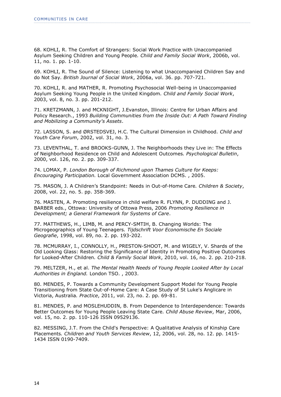68. KOHLI, R. The Comfort of Strangers: Social Work Practice with Unaccompanied Asylum Seeking Children and Young People*. Child and Family Social Work*, 2006b, vol. 11, no. 1. pp. 1-10.

69. KOHLI, R. The Sound of Silence: Listening to what Unaccompanied Children Say and do Not Say*. British Journal of Social Work*, 2006a, vol. 36. pp. 707-721.

70. KOHLI, R. and MATHER, R. Promoting Psychosocial Well-being in Unaccompanied Asylum Seeking Young People in the United Kingdom*. Child and Family Social Work*, 2003, vol. 8, no. 3. pp. 201-212.

71. KRETZMANN, J. and MCKNIGHT, J.Evanston, Illinois: Centre for Urban Affairs and Policy Research., 1993 *Building Communities from the Inside Out: A Path Toward Finding and Mobilizing a Community's Assets*.

72. LASSON, S. and ØRSTEDSVEJ, H.C. The Cultural Dimension in Childhood*. Child and Youth Care Forum*, 2002, vol. 31, no. 3.

73. LEVENTHAL, T. and BROOKS-GUNN, J. The Neighborhoods they Live in: The Effects of Neighborhood Residence on Child and Adolescent Outcomes*. Psychological Bulletin*, 2000, vol. 126, no. 2. pp. 309-337.

74. LOMAX, P. *London Borough of Richmond upon Thames Culture for Keeps: Encouraging Participation.* Local Government Association DCMS. , 2005.

75. MASON, J. A Children"s Standpoint: Needs in Out-of-Home Care*. Children & Society*, 2008, vol. 22, no. 5. pp. 358-369.

76. MASTEN, A. Promoting resilience in child welfare R. FLYNN, P. DUDDING and J. BARBER eds., Ottowa: University of Ottowa Press, 2006 *Promoting Resilience in Development; a General Framework for Systems of Care*.

77. MATTHEWS, H., LIMB, M. and PERCY-SMTIH, B. Changing Worlds: The Microgeographics of Young Teenagers*. Tijdschrift Voor Economische En Sociale Geografie*, 1998, vol. 89, no. 2. pp. 193-202.

78. MCMURRAY, I., CONNOLLY, H., PRESTON-SHOOT, M. and WIGELY, V. Shards of the Old Looking Glass: Restoring the Significance of Identity in Promoting Positive Outcomes for Looked-After Children*. Child & Family Social Work*, 2010, vol. 16, no. 2. pp. 210-218.

79. MELTZER, H., et al. *The Mental Health Needs of Young People Looked After by Local Authorities in England.* London TSO. , 2003.

80. MENDES, P. Towards a Community Development Support Model for Young People Transitioning from State Out-of-Home Care: A Case Study of St Luke's Anglicare in Victoria, Australia*. Practice*, 2011, vol. 23, no. 2. pp. 69-81.

81. MENDES, P. and MOSLEHUDDIN, B. From Dependence to Interdependence: Towards Better Outcomes for Young People Leaving State Care*. Child Abuse Review*, Mar, 2006, vol. 15, no. 2. pp. 110-126 ISSN 09529136.

82. MESSING, J.T. From the Child's Perspective: A Qualitative Analysis of Kinship Care Placements*. Children and Youth Services Review*, 12, 2006, vol. 28, no. 12. pp. 1415- 1434 ISSN 0190-7409.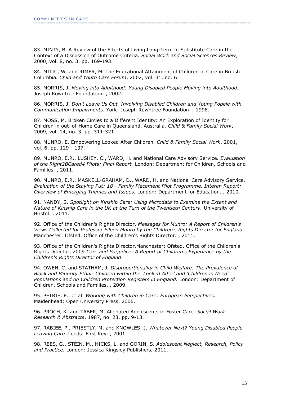83. MINTY, B. A Review of the Effects of Living Long-Term in Substitute Care in the Context of a Discussion of Outcome Criteria*. Social Work and Social Sciences Review*, 2000, vol. 8, no. 3. pp. 169-193.

84. MITIC, W. and RIMER, M. The Educational Attainment of Children in Care in British Columbia*. Child and Youth Care Forum*, 2002, vol. 31, no. 6.

85. MORRIS, J. *Moving into Adulthood: Young Disabled People Moving into Adulthood.*  Joseph Rowntree Foundation. , 2002.

86. MORRIS, J. *Don't Leave Us Out. Involving Disabled Children and Young Popele with Communication Impairments.* York: Joseph Rowntree Foundation. , 1998.

87. MOSS, M. Broken Circles to a Different Identity: An Exploration of Identity for Children in out–of-Home Care in Queensland, Australia*. Child & Family Social Work*, 2009, vol. 14, no. 3. pp. 311-321.

88. MUNRO, E. Empowering Looked After Children*. Child & Family Social Work*, 2001, vol. 6. pp. 129 - 137.

89. MUNRO, E.R., LUSHEY, C., WARD, H. and National Care Advisory Service. *Evaluation of the Right2BCared4 Pilots: Final Report.* London: Department for Children, Schools and Families. , 2011.

90. MUNRO, E.R., MASKELL-GRAHAM, D., WARD, H. and National Care Advisory Service. *Evaluation of the Staying Put: 18+ Family Placement Pilot Programme. Interim Report: Overview of Emerging Themes and Issues.* London: Department for Education. , 2010.

91. NANDY, S. *Spotlight on Kinship Care: Using Microdata to Examine the Extent and Nature of Kinship Care in the UK at the Turn of the Twentieth Century.* University of Bristol. , 2011.

92. Office of the Children's Rights Director. *Messages for Munro: A Report of Children's Views Collected for Professor Eileen Munro by the Children's Rights Director for England.*  Manchester: Ofsted. Office of the Children's Rights Director. , 2011.

93. Office of the Children's Rights Director.Manchester: Ofsted. Office of the Children's Rights Director, 2009 *Care and Prejudice: A Report of Children's Experience by the Children's Rights Director of England*.

94. OWEN, C. and STATHAM, J. *Disproportionality in Child Welfare: The Prevalence of Black and Minority Ethnic Children within the 'Looked After' and 'Children in Need' Populations and on Children Protection Registers in England.* London: Department of Children, Schools and Families. , 2009.

95. PETRIE, P., et al. *Working with Children in Care: European Perspectives.*  Maidenhead: Open University Press, 2006.

96. PROCH, K. and TABER, M. Alienated Adolescents in Foster Care*. Social Work Research & Abstracts*, 1987, no. 23. pp. 9-13.

97. RABIEE, P., PRIESTLY, M. and KNOWLES, J. *Whatever Next? Young Disabled People Leaving Care.* Leeds: First Key. , 2001.

98. REES, G., STEIN, M., HICKS, L. and GORIN, S. *Adolescent Neglect, Research, Policy and Practice.* London: Jessica Kingsley Publishers, 2011.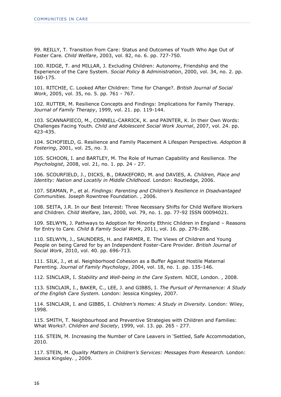99. REILLY, T. Transition from Care: Status and Outcomes of Youth Who Age Out of Foster Care*. Child Welfare*, 2003, vol. 82, no. 6. pp. 727-750.

100. RIDGE, T. and MILLAR, J. Excluding Children: Autonomy, Friendship and the Experience of the Care System*. Social Policy & Administration*, 2000, vol. 34, no. 2. pp. 160-175.

101. RITCHIE, C. Looked After Children: Time for Change?*. British Journal of Social Work*, 2005, vol. 35, no. 5. pp. 761 - 767.

102. RUTTER, M. Resilience Concepts and Findings: Implications for Family Therapy*. Journal of Family Therapy*, 1999, vol. 21. pp. 119-144.

103. SCANNAPIECO, M., CONNELL-CARRICK, K. and PAINTER, K. In their Own Words: Challenges Facing Youth*. Child and Adolescent Social Work Journal*, 2007, vol. 24. pp. 423-435.

104. SCHOFIELD, G. Resilience and Family Placement A Lifespan Perspective*. Adoption & Fostering*, 2001, vol. 25, no. 3.

105. SCHOON, I. and BARTLEY, M. The Role of Human Capability and Resilience*. The Psychologist*, 2008, vol. 21, no. 1. pp. 24 - 27.

106. SCOURFIELD, J., DICKS, B., DRAKEFORD, M. and DAVIES, A. *Children, Place and Identity: Nation and Locatily in Middle Childhood.* London: Routledge, 2006.

107. SEAMAN, P., et al. *Findings: Parenting and Children's Resilience in Disadvantaged Communities.* Joseph Rowntree Foundation. , 2006.

108. SEITA, J.R. In our Best Interest: Three Necessary Shifts for Child Welfare Workers and Children*. Child Welfare*, Jan, 2000, vol. 79, no. 1. pp. 77-92 ISSN 00094021.

109. SELWYN, J. Pathways to Adoption for Minority Ethnic Children in England – Reasons for Entry to Care*. Child & Family Social Work*, 2011, vol. 16. pp. 276-286.

110. SELWYN, J., SAUNDERS, H. and FARMER, E. The Views of Children and Young People on being Cared for by an Independent Foster-Care Provider*. British Journal of Social Work*, 2010, vol. 40. pp. 696-713.

111. SILK, J., et al. Neighborhood Cohesion as a Buffer Against Hostile Maternal Parenting*. Journal of Family Psychology*, 2004, vol. 18, no. 1. pp. 135-146.

112. SINCLAIR, I. *Stability and Well-being in the Care System.* NICE, London. , 2008.

113. SINCLAIR, I., BAKER, C., LEE, J. and GIBBS, I. *The Pursuit of Permanence: A Study of the English Care System.* London: Jessica Kingsley, 2007.

114. SINCLAIR, I. and GIBBS, I. *Children's Homes: A Study in Diversity.* London: Wiley, 1998.

115. SMITH, T. Neighbourhood and Preventive Strategies with Children and Families: What Works?*. Children and Society*, 1999, vol. 13. pp. 265 - 277.

116. STEIN, M. Increasing the Number of Care Leavers in "Settled, Safe Accommodation, 2010.

117. STEIN, M. *Quality Matters in Children's Services: Messages from Research.* London: Jessica Kingsley. , 2009.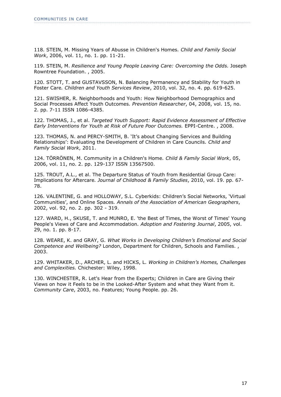118. STEIN, M. Missing Years of Abusse in Children's Homes*. Child and Family Social Work*, 2006, vol. 11, no. 1. pp. 11-21.

119. STEIN, M. *Resilience and Young People Leaving Care: Overcoming the Odds.* Joseph Rowntree Foundation. , 2005.

120. STOTT, T. and GUSTAVSSON, N. Balancing Permanency and Stability for Youth in Foster Care*. Children and Youth Services Review*, 2010, vol. 32, no. 4. pp. 619-625.

121. SWISHER, R. Neighborhoods and Youth: How Neighborhood Demographics and Social Processes Affect Youth Outcomes*. Prevention Researcher*, 04, 2008, vol. 15, no. 2. pp. 7-11 ISSN 1086-4385.

122. THOMAS, J., et al. *Targeted Youth Support: Rapid Evidence Assessment of Effective Early Interventions for Youth at Risk of Future Poor Outcomes.* EPPI-Centre. , 2008.

123. THOMAS, N. and PERCY-SMITH, B. 'It's about Changing Services and Building Relationships": Evaluating the Development of Children in Care Councils*. Child and Family Social Work*, 2011.

124. TÖRRÖNEN, M. Community in a Children's Home*. Child & Family Social Work*, 05, 2006, vol. 11, no. 2. pp. 129-137 ISSN 13567500.

125. TROUT, A.L., et al. The Departure Status of Youth from Residential Group Care: Implications for Aftercare*. Journal of Childhood & Family Studies*, 2010, vol. 19. pp. 67- 78.

126. VALENTINE, G. and HOLLOWAY, S.L. Cyberkids: Children"s Social Networks, "Virtual Communities", and Online Spaces*. Annals of the Association of American Geographers*, 2002, vol. 92, no. 2. pp. 302 - 319.

127. WARD, H., SKUSE, T. and MUNRO, E. 'the Best of Times, the Worst of Times' Young People's Views of Care and Accommodation*. Adoption and Fostering Journal*, 2005, vol. 29, no. 1. pp. 8-17.

128. WEARE, K. and GRAY, G. *What Works in Developing Children's Emotional and Social Competence and Wellbeing?* London, Department for Children, Schools and Families. , 2003.

129. WHITAKER, D., ARCHER, L. and HICKS, L. *Working in Children's Homes, Challenges and Complexities.* Chichester: Wiley, 1998.

130. WINCHESTER, R. Let's Hear from the Experts; Children in Care are Giving their Views on how it Feels to be in the Looked-After System and what they Want from it. *Community Care*, 2003, no. Features; Young People. pp. 26.